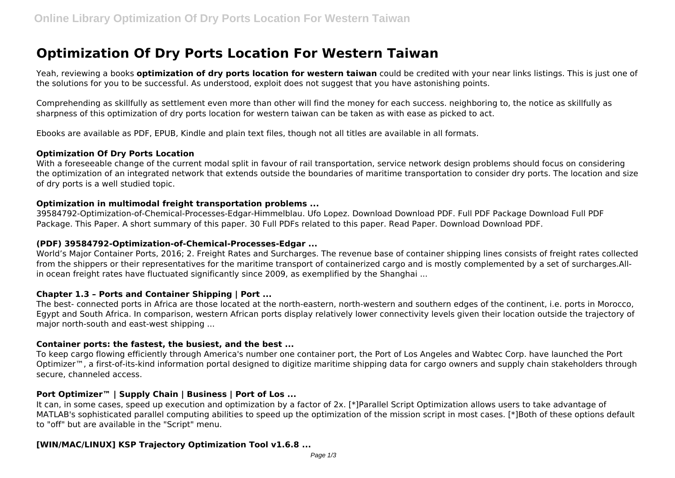# **Optimization Of Dry Ports Location For Western Taiwan**

Yeah, reviewing a books **optimization of dry ports location for western taiwan** could be credited with your near links listings. This is just one of the solutions for you to be successful. As understood, exploit does not suggest that you have astonishing points.

Comprehending as skillfully as settlement even more than other will find the money for each success. neighboring to, the notice as skillfully as sharpness of this optimization of dry ports location for western taiwan can be taken as with ease as picked to act.

Ebooks are available as PDF, EPUB, Kindle and plain text files, though not all titles are available in all formats.

## **Optimization Of Dry Ports Location**

With a foreseeable change of the current modal split in favour of rail transportation, service network design problems should focus on considering the optimization of an integrated network that extends outside the boundaries of maritime transportation to consider dry ports. The location and size of dry ports is a well studied topic.

## **Optimization in multimodal freight transportation problems ...**

39584792-Optimization-of-Chemical-Processes-Edgar-Himmelblau. Ufo Lopez. Download Download PDF. Full PDF Package Download Full PDF Package. This Paper. A short summary of this paper. 30 Full PDFs related to this paper. Read Paper. Download Download PDF.

## **(PDF) 39584792-Optimization-of-Chemical-Processes-Edgar ...**

World's Major Container Ports, 2016; 2. Freight Rates and Surcharges. The revenue base of container shipping lines consists of freight rates collected from the shippers or their representatives for the maritime transport of containerized cargo and is mostly complemented by a set of surcharges.Allin ocean freight rates have fluctuated significantly since 2009, as exemplified by the Shanghai ...

## **Chapter 1.3 – Ports and Container Shipping | Port ...**

The best- connected ports in Africa are those located at the north-eastern, north-western and southern edges of the continent, i.e. ports in Morocco, Egypt and South Africa. In comparison, western African ports display relatively lower connectivity levels given their location outside the trajectory of major north-south and east-west shipping ...

## **Container ports: the fastest, the busiest, and the best ...**

To keep cargo flowing efficiently through America's number one container port, the Port of Los Angeles and Wabtec Corp. have launched the Port Optimizer<sup>™</sup>, a first-of-its-kind information portal designed to digitize maritime shipping data for cargo owners and supply chain stakeholders through secure, channeled access.

## **Port Optimizer™ | Supply Chain | Business | Port of Los ...**

It can, in some cases, speed up execution and optimization by a factor of 2x. [\*]Parallel Script Optimization allows users to take advantage of MATLAB's sophisticated parallel computing abilities to speed up the optimization of the mission script in most cases. [\*]Both of these options default to "off" but are available in the "Script" menu.

# **[WIN/MAC/LINUX] KSP Trajectory Optimization Tool v1.6.8 ...**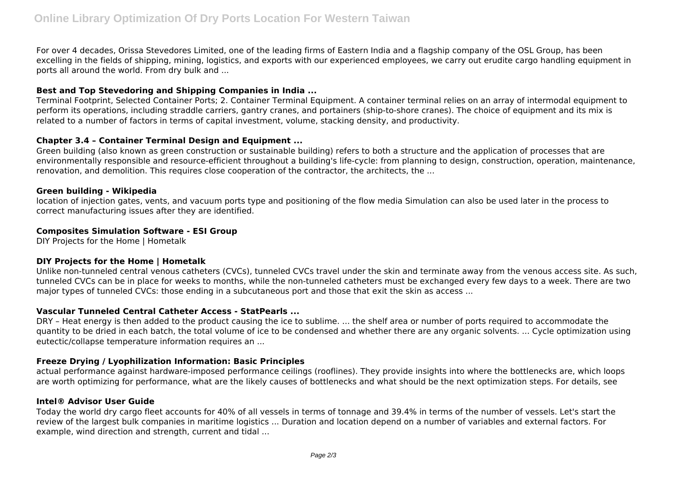For over 4 decades, Orissa Stevedores Limited, one of the leading firms of Eastern India and a flagship company of the OSL Group, has been excelling in the fields of shipping, mining, logistics, and exports with our experienced employees, we carry out erudite cargo handling equipment in ports all around the world. From dry bulk and ...

## **Best and Top Stevedoring and Shipping Companies in India ...**

Terminal Footprint, Selected Container Ports; 2. Container Terminal Equipment. A container terminal relies on an array of intermodal equipment to perform its operations, including straddle carriers, gantry cranes, and portainers (ship-to-shore cranes). The choice of equipment and its mix is related to a number of factors in terms of capital investment, volume, stacking density, and productivity.

## **Chapter 3.4 – Container Terminal Design and Equipment ...**

Green building (also known as green construction or sustainable building) refers to both a structure and the application of processes that are environmentally responsible and resource-efficient throughout a building's life-cycle: from planning to design, construction, operation, maintenance, renovation, and demolition. This requires close cooperation of the contractor, the architects, the ...

## **Green building - Wikipedia**

location of injection gates, vents, and vacuum ports type and positioning of the flow media Simulation can also be used later in the process to correct manufacturing issues after they are identified.

## **Composites Simulation Software - ESI Group**

DIY Projects for the Home | Hometalk

## **DIY Projects for the Home | Hometalk**

Unlike non-tunneled central venous catheters (CVCs), tunneled CVCs travel under the skin and terminate away from the venous access site. As such, tunneled CVCs can be in place for weeks to months, while the non-tunneled catheters must be exchanged every few days to a week. There are two major types of tunneled CVCs: those ending in a subcutaneous port and those that exit the skin as access ...

## **Vascular Tunneled Central Catheter Access - StatPearls ...**

DRY – Heat energy is then added to the product causing the ice to sublime. ... the shelf area or number of ports required to accommodate the quantity to be dried in each batch, the total volume of ice to be condensed and whether there are any organic solvents. ... Cycle optimization using eutectic/collapse temperature information requires an ...

## **Freeze Drying / Lyophilization Information: Basic Principles**

actual performance against hardware-imposed performance ceilings (rooflines). They provide insights into where the bottlenecks are, which loops are worth optimizing for performance, what are the likely causes of bottlenecks and what should be the next optimization steps. For details, see

## **Intel® Advisor User Guide**

Today the world dry cargo fleet accounts for 40% of all vessels in terms of tonnage and 39.4% in terms of the number of vessels. Let's start the review of the largest bulk companies in maritime logistics ... Duration and location depend on a number of variables and external factors. For example, wind direction and strength, current and tidal ...